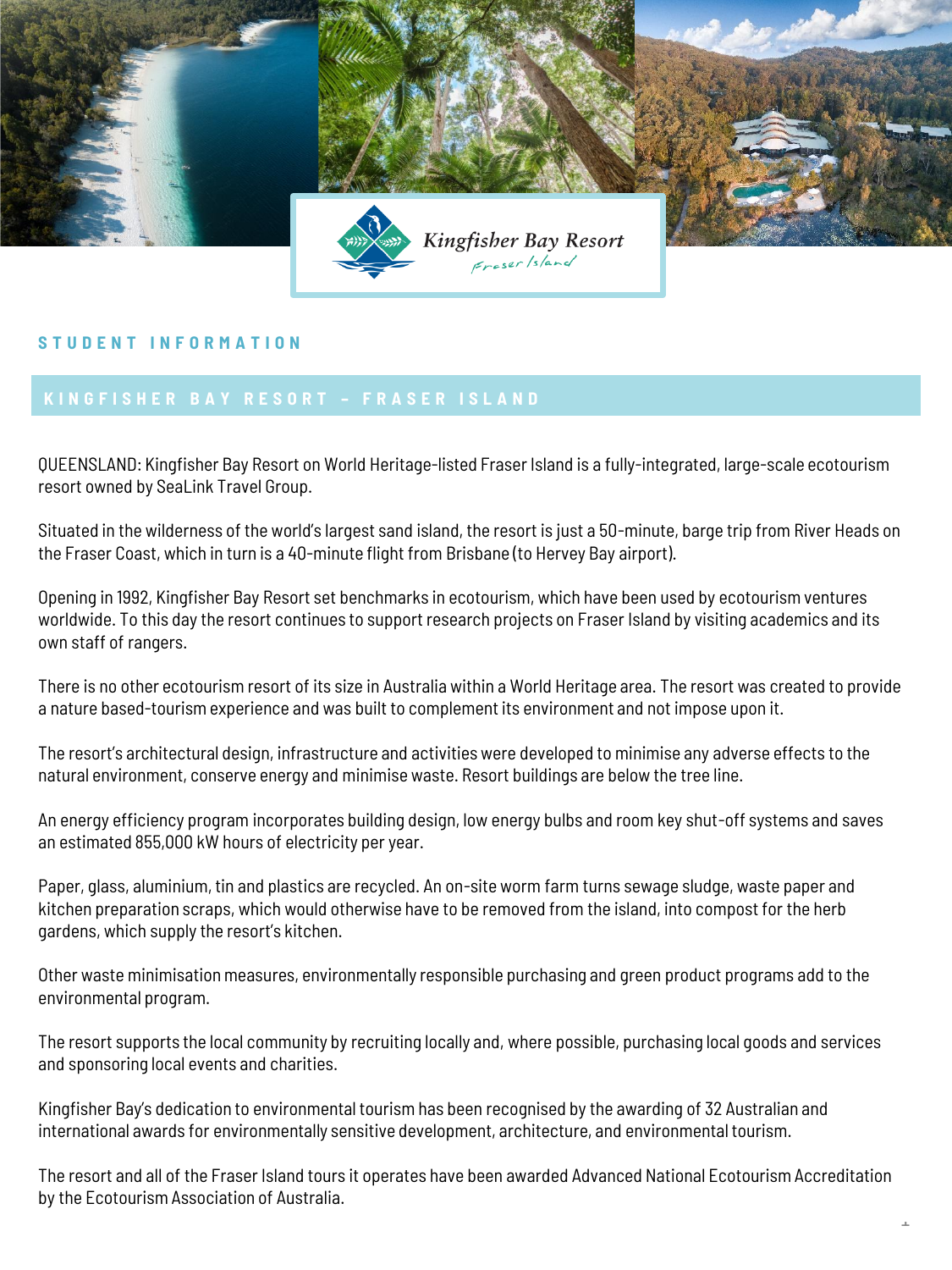

## **S T U D E N T I N F O R M A T I O N**

QUEENSLAND: Kingfisher Bay Resort on World Heritage-listed Fraser Island is a fully-integrated, large-scale ecotourism resort owned by SeaLink Travel Group.

Situated in the wilderness of the world's largest sand island, the resort is just a 50-minute, barge trip from River Heads on the Fraser Coast, which in turn is a 40-minute flight from Brisbane (to Hervey Bay airport).

Opening in 1992, Kingfisher Bay Resort set benchmarks in ecotourism, which have been used by ecotourism ventures worldwide. To this day the resort continues to support research projects on Fraser Island by visiting academics and its own staff of rangers.

There is no other ecotourism resort of its size in Australia within a World Heritage area. The resort was created to provide a nature based-tourism experience and was built to complement its environment and not impose upon it.

The resort's architectural design, infrastructure and activities were developed to minimise any adverse effects to the natural environment, conserve energy and minimise waste. Resort buildings are below the tree line.

An energy efficiency program incorporates building design, low energy bulbs and room key shut-off systems and saves an estimated 855,000 kW hours of electricity per year.

Paper, glass, aluminium, tin and plastics are recycled. An on-site worm farm turns sewage sludge, waste paper and kitchen preparation scraps, which would otherwise have to be removed from the island, into compost for the herb gardens, which supply the resort's kitchen.

Other waste minimisation measures, environmentally responsible purchasing and green product programs add to the environmental program.

The resort supports the local community by recruiting locally and, where possible, purchasing local goods and services and sponsoring local events and charities.

Kingfisher Bay's dedication to environmental tourism has been recognised by the awarding of 32 Australian and international awards for environmentally sensitive development, architecture, and environmental tourism.

The resort and all of the Fraser Island tours it operates have been awarded Advanced National Ecotourism Accreditation by the Ecotourism Association of Australia.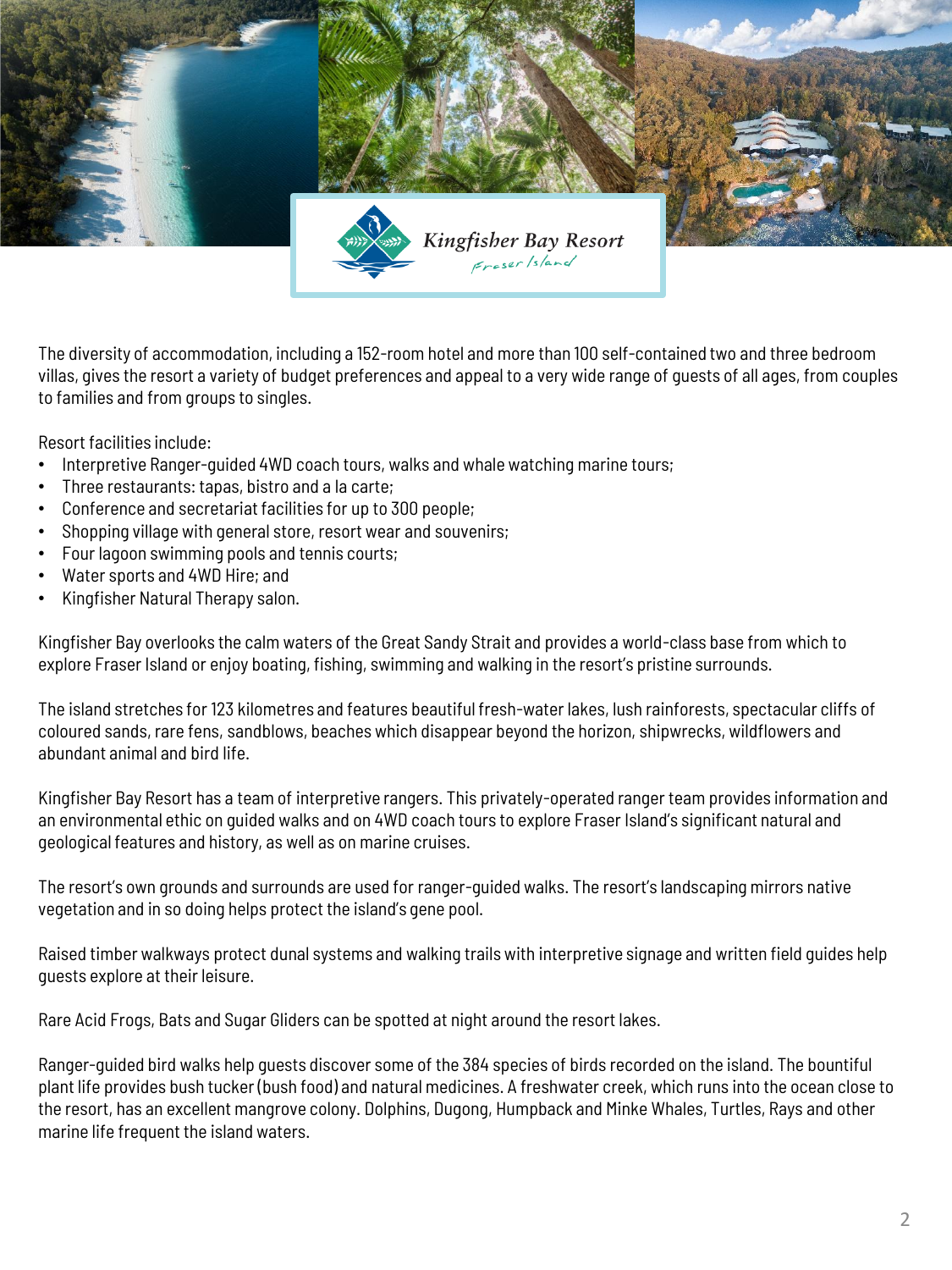

The diversity of accommodation, including a 152-room hotel and more than 100 self-contained two and three bedroom villas, gives the resort a variety of budget preferences and appeal to a very wide range of guests of all ages, from couples to families and from groups to singles.

Resort facilities include:

- Interpretive Ranger-guided 4WD coach tours, walks and whale watching marine tours;
- Three restaurants: tapas, bistro and a la carte;
- Conference and secretariat facilities for up to 300 people;
- Shopping village with general store, resort wear and souvenirs;
- Four lagoon swimming pools and tennis courts;
- Water sports and 4WD Hire; and
- Kingfisher Natural Therapy salon.

Kingfisher Bay overlooks the calm waters of the Great Sandy Strait and provides a world-class base from which to explore Fraser Island or enjoy boating, fishing, swimming and walking in the resort's pristine surrounds.

The island stretches for 123 kilometres and features beautiful fresh-water lakes, lush rainforests, spectacular cliffs of coloured sands, rare fens, sandblows, beaches which disappear beyond the horizon, shipwrecks, wildflowers and abundant animal and bird life.

Kingfisher Bay Resort has a team of interpretive rangers. This privately-operated ranger team provides information and an environmental ethic on guided walks and on 4WD coach tours to explore Fraser Island's significant natural and geological features and history, as well as on marine cruises.

The resort's own grounds and surrounds are used for ranger-guided walks. The resort's landscaping mirrors native vegetation and in so doing helps protect the island's gene pool.

Raised timber walkways protect dunal systems and walking trails with interpretive signage and written field guides help guests explore at their leisure.

Rare Acid Frogs, Bats and Sugar Gliders can be spotted at night around the resort lakes.

Ranger-guided bird walks help guests discover some of the 384 species of birds recorded on the island. The bountiful plant life provides bush tucker (bush food) and natural medicines. A freshwater creek, which runs into the ocean close to the resort, has an excellent mangrove colony. Dolphins, Dugong, Humpback and Minke Whales, Turtles, Rays and other marine life frequent the island waters.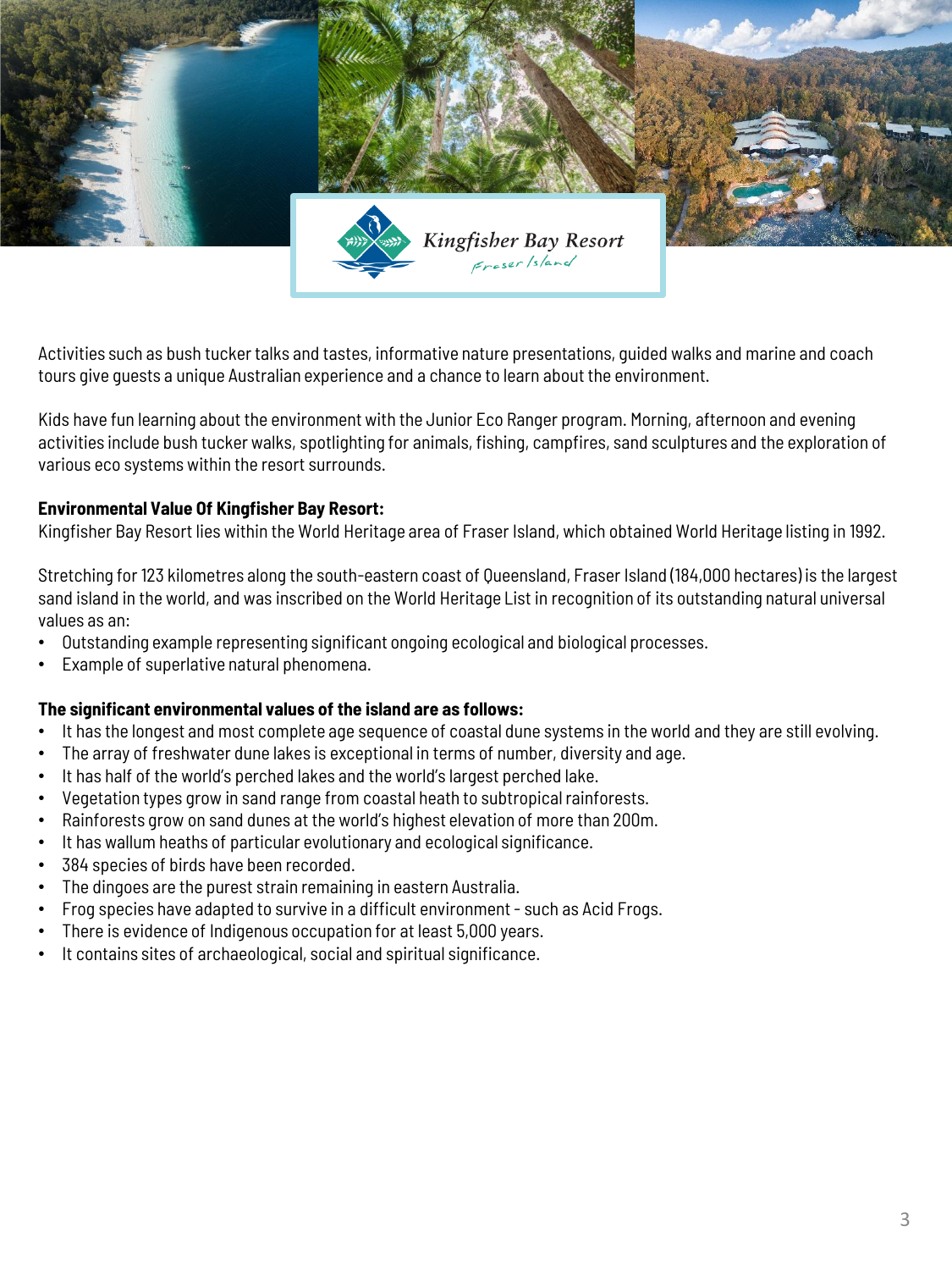

Activities such as bush tucker talks and tastes, informative nature presentations, guided walks and marine and coach tours give guests a unique Australian experience and a chance to learn about the environment.

Kids have fun learning about the environment with the Junior Eco Ranger program. Morning, afternoon and evening activities include bush tucker walks, spotlighting for animals, fishing, campfires, sand sculptures and the exploration of various eco systems within the resort surrounds.

### **Environmental Value Of Kingfisher Bay Resort:**

Kingfisher Bay Resort lies within the World Heritage area of Fraser Island, which obtained World Heritage listing in 1992.

Stretching for 123 kilometres along the south-eastern coast of Queensland, Fraser Island (184,000 hectares) is the largest sand island in the world, and was inscribed on the World Heritage List in recognition of its outstanding natural universal values as an:

- Outstanding example representing significant ongoing ecological and biological processes.
- Example of superlative natural phenomena.

### **The significant environmental values of the island are as follows:**

- It has the longest and most complete age sequence of coastal dune systems in the world and they are still evolving.
- The array of freshwater dune lakes is exceptional in terms of number, diversity and age.
- It has half of the world's perched lakes and the world's largest perched lake.
- Vegetation types grow in sand range from coastal heath to subtropical rainforests.
- Rainforests grow on sand dunes at the world's highest elevation of more than 200m.
- It has wallum heaths of particular evolutionary and ecological significance.
- 384 species of birds have been recorded.
- The dingoes are the purest strain remaining in eastern Australia.
- Frog species have adapted to survive in a difficult environment such as Acid Frogs.
- There is evidence of Indigenous occupation for at least 5,000 years.
- It contains sites of archaeological, social and spiritual significance.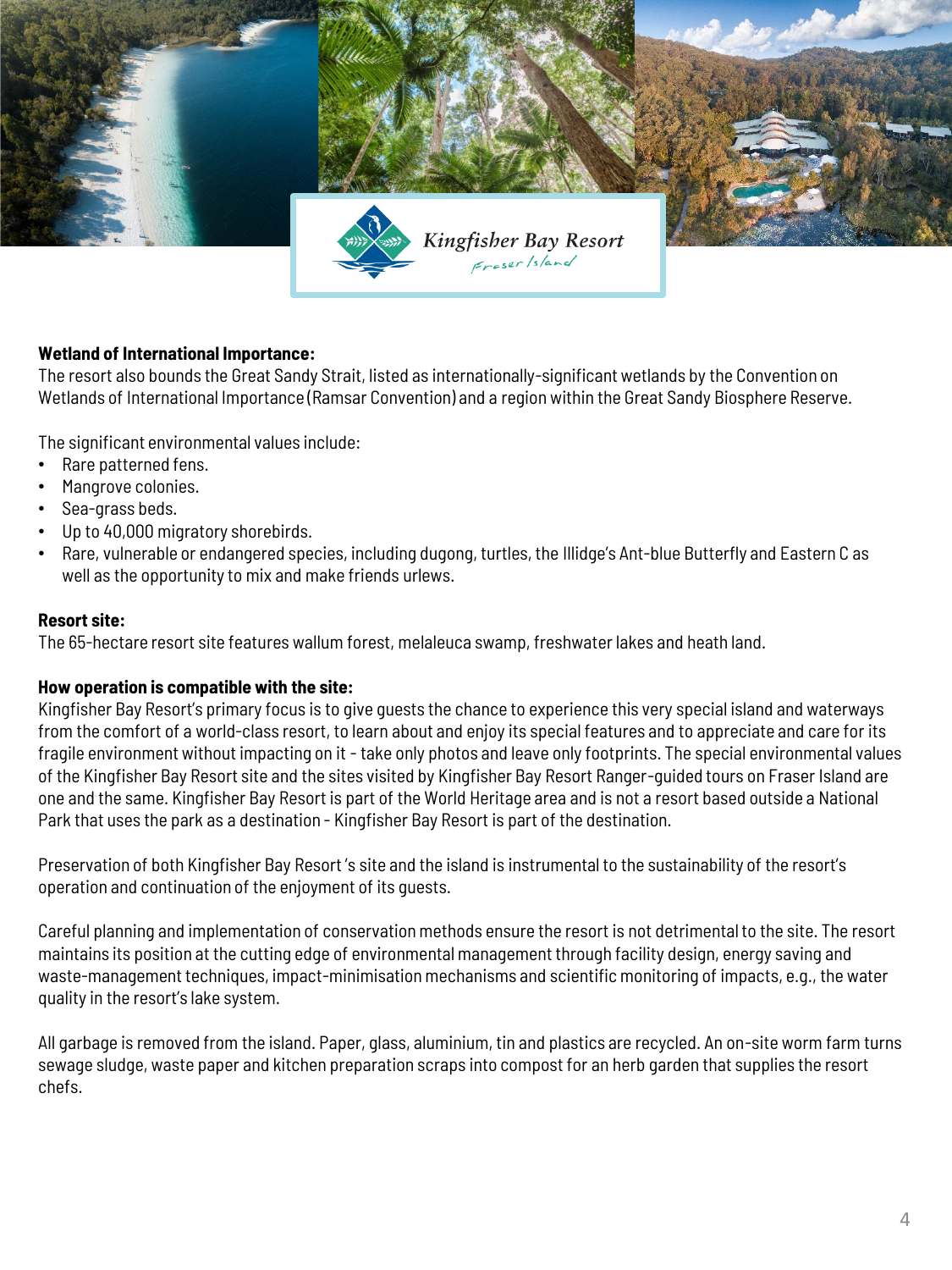

# **Wetland of International Importance:**

The resort also bounds the Great Sandy Strait, listed as internationally-significant wetlands by the Convention on Wetlands of International Importance (Ramsar Convention) and a region within the Great Sandy Biosphere Reserve.

The significant environmental values include:

- Rare patterned fens.
- Mangrove colonies.
- Sea-grass beds.
- Up to 40,000 migratory shorebirds.
- Rare, vulnerable or endangered species, including dugong, turtles, the Illidge's Ant-blue Butterfly and Eastern C as well as the opportunity to mix and make friends urlews.

### **Resort site:**

The 65-hectare resort site features wallum forest, melaleuca swamp, freshwater lakes and heath land.

#### **How operation is compatible with the site:**

Kingfisher Bay Resort's primary focus is to give guests the chance to experience this very special island and waterways from the comfort of a world-class resort, to learn about and enjoy its special features and to appreciate and care for its fragile environment without impacting on it - take only photos and leave only footprints. The special environmental values of the Kingfisher Bay Resort site and the sites visited by Kingfisher Bay Resort Ranger-guided tours on Fraser Island are one and the same. Kingfisher Bay Resort is part of the World Heritage area and is not a resort based outside a National Park that uses the park as a destination - Kingfisher Bay Resort is part of the destination.

Preservation of both Kingfisher Bay Resort 's site and the island is instrumental to the sustainability of the resort's operation and continuation of the enjoyment of its guests.

Careful planning and implementation of conservation methods ensure the resort is not detrimental to the site. The resort maintains its position at the cutting edge of environmental management through facility design, energy saving and waste-management techniques, impact-minimisation mechanisms and scientific monitoring of impacts, e.g., the water quality in the resort's lake system.

All garbage is removed from the island. Paper, glass, aluminium, tin and plastics are recycled. An on-site worm farm turns sewage sludge, waste paper and kitchen preparation scraps into compost for an herb garden that supplies the resort chefs.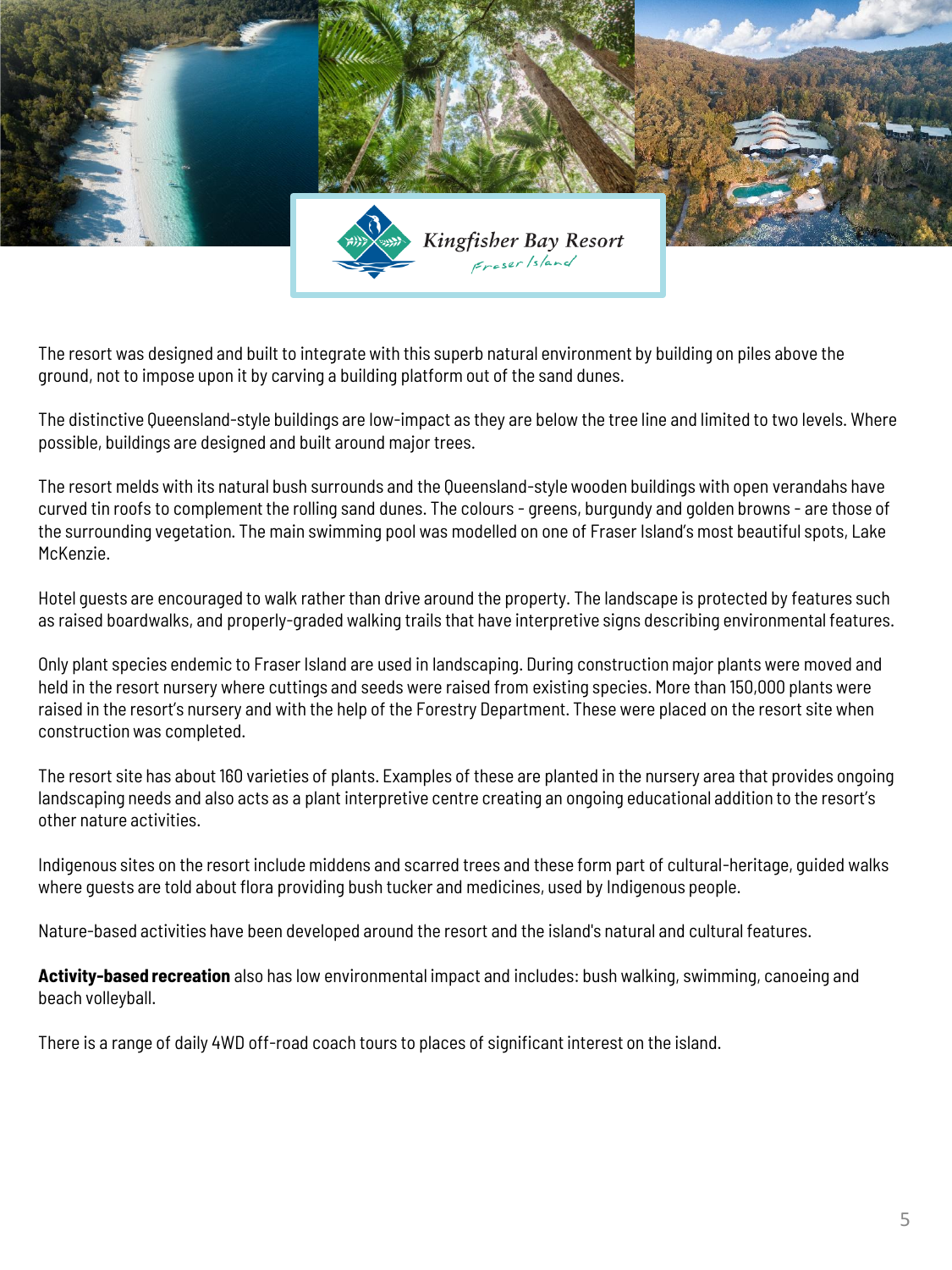

The resort was designed and built to integrate with this superb natural environment by building on piles above the ground, not to impose upon it by carving a building platform out of the sand dunes.

The distinctive Queensland-style buildings are low-impact as they are below the tree line and limited to two levels. Where possible, buildings are designed and built around major trees.

The resort melds with its natural bush surrounds and the Queensland-style wooden buildings with open verandahs have curved tin roofs to complement the rolling sand dunes. The colours - greens, burgundy and golden browns - are those of the surrounding vegetation. The main swimming pool was modelled on one of Fraser Island's most beautiful spots, Lake McKenzie.

Hotel guests are encouraged to walk rather than drive around the property. The landscape is protected by features such as raised boardwalks, and properly-graded walking trails that have interpretive signs describing environmental features.

Only plant species endemic to Fraser Island are used in landscaping. During construction major plants were moved and held in the resort nursery where cuttings and seeds were raised from existing species. More than 150,000 plants were raised in the resort's nursery and with the help of the Forestry Department. These were placed on the resort site when construction was completed.

The resort site has about 160 varieties of plants. Examples of these are planted in the nursery area that provides ongoing landscaping needs and also acts as a plant interpretive centre creating an ongoing educational addition to the resort's other nature activities.

Indigenous sites on the resort include middens and scarred trees and these form part of cultural-heritage, guided walks where guests are told about flora providing bush tucker and medicines, used by Indigenous people.

Nature-based activities have been developed around the resort and the island's natural and cultural features.

**Activity-based recreation** also has low environmental impact and includes: bush walking, swimming, canoeing and beach volleyball.

There is a range of daily 4WD off-road coach tours to places of significant interest on the island.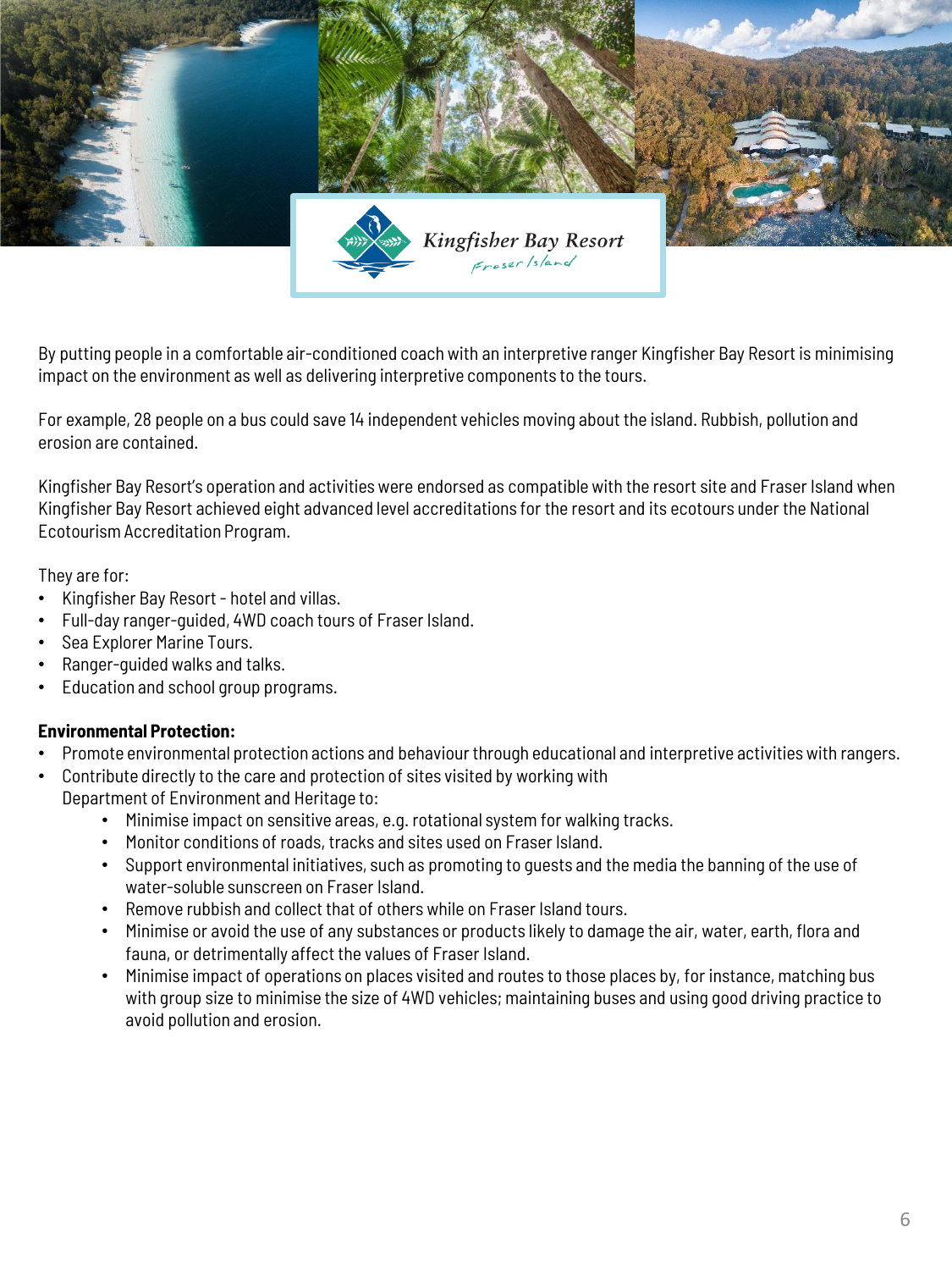

By putting people in a comfortable air-conditioned coach with an interpretive ranger Kingfisher Bay Resort is minimising impact on the environment as well as delivering interpretive components to the tours.

For example, 28 people on a bus could save 14 independent vehicles moving about the island. Rubbish, pollution and erosion are contained.

Kingfisher Bay Resort's operation and activities were endorsed as compatible with the resort site and Fraser Island when Kingfisher Bay Resort achieved eight advanced level accreditations for the resort and its ecotours under the National Ecotourism Accreditation Program.

They are for:

- Kingfisher Bay Resort hotel and villas.
- Full-day ranger-guided, 4WD coach tours of Fraser Island.
- Sea Explorer Marine Tours.
- Ranger-guided walks and talks.
- Education and school group programs.

# **Environmental Protection:**

- Promote environmental protection actions and behaviour through educational and interpretive activities with rangers.
- Contribute directly to the care and protection of sites visited by working with Department of Environment and Heritage to:
	- Minimise impact on sensitive areas, e.g. rotational system for walking tracks.
	- Monitor conditions of roads, tracks and sites used on Fraser Island.
	- Support environmental initiatives, such as promoting to guests and the media the banning of the use of water-soluble sunscreen on Fraser Island.
	- Remove rubbish and collect that of others while on Fraser Island tours.
	- Minimise or avoid the use of any substances or products likely to damage the air, water, earth, flora and fauna, or detrimentally affect the values of Fraser Island.
	- Minimise impact of operations on places visited and routes to those places by, for instance, matching bus with group size to minimise the size of 4WD vehicles; maintaining buses and using good driving practice to avoid pollution and erosion.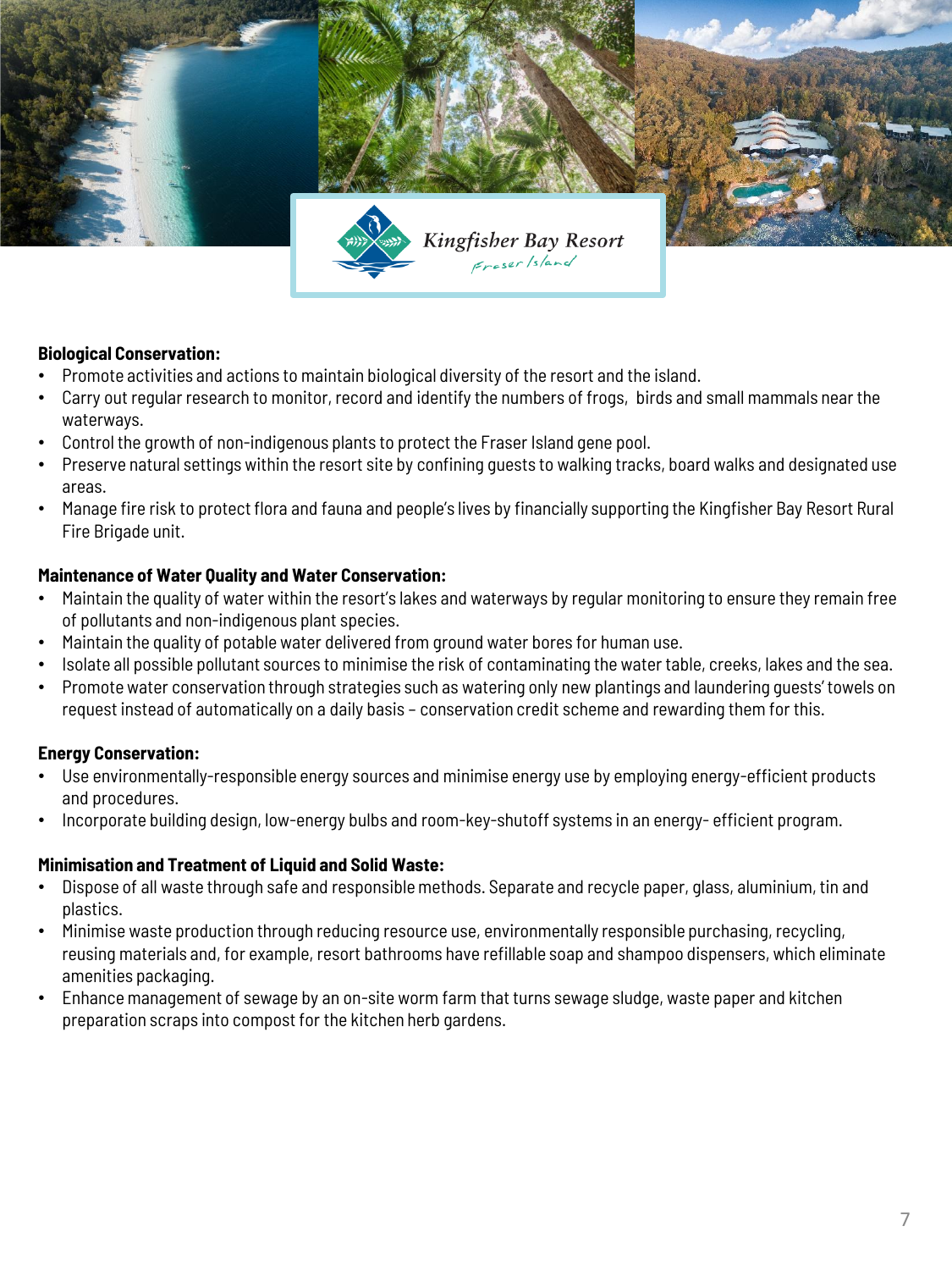

# **Biological Conservation:**

- Promote activities and actions to maintain biological diversity of the resort and the island.
- Carry out regular research to monitor, record and identify the numbers of frogs, birds and small mammals near the waterways.
- Control the growth of non-indigenous plants to protect the Fraser Island gene pool.
- Preserve natural settings within the resort site by confining guests to walking tracks, board walks and designated use areas.
- Manage fire risk to protect flora and fauna and people's lives by financially supporting the Kingfisher Bay Resort Rural Fire Brigade unit.

### **Maintenance of Water Quality and Water Conservation:**

- Maintain the quality of water within the resort's lakes and waterways by regular monitoring to ensure they remain free of pollutants and non-indigenous plant species.
- Maintain the quality of potable water delivered from ground water bores for human use.
- Isolate all possible pollutant sources to minimise the risk of contaminating the water table, creeks, lakes and the sea.
- Promote water conservation through strategies such as watering only new plantings and laundering guests' towels on request instead of automatically on a daily basis – conservation credit scheme and rewarding them for this.

### **Energy Conservation:**

- Use environmentally-responsible energy sources and minimise energy use by employing energy-efficient products and procedures.
- Incorporate building design, low-energy bulbs and room-key-shutoff systems in an energy- efficient program.

### **Minimisation and Treatment of Liquid and Solid Waste:**

- Dispose of all waste through safe and responsible methods. Separate and recycle paper, glass, aluminium, tin and plastics.
- Minimise waste production through reducing resource use, environmentally responsible purchasing, recycling, reusing materials and, for example, resort bathrooms have refillable soap and shampoo dispensers, which eliminate amenities packaging.
- Enhance management of sewage by an on-site worm farm that turns sewage sludge, waste paper and kitchen preparation scraps into compost for the kitchen herb gardens.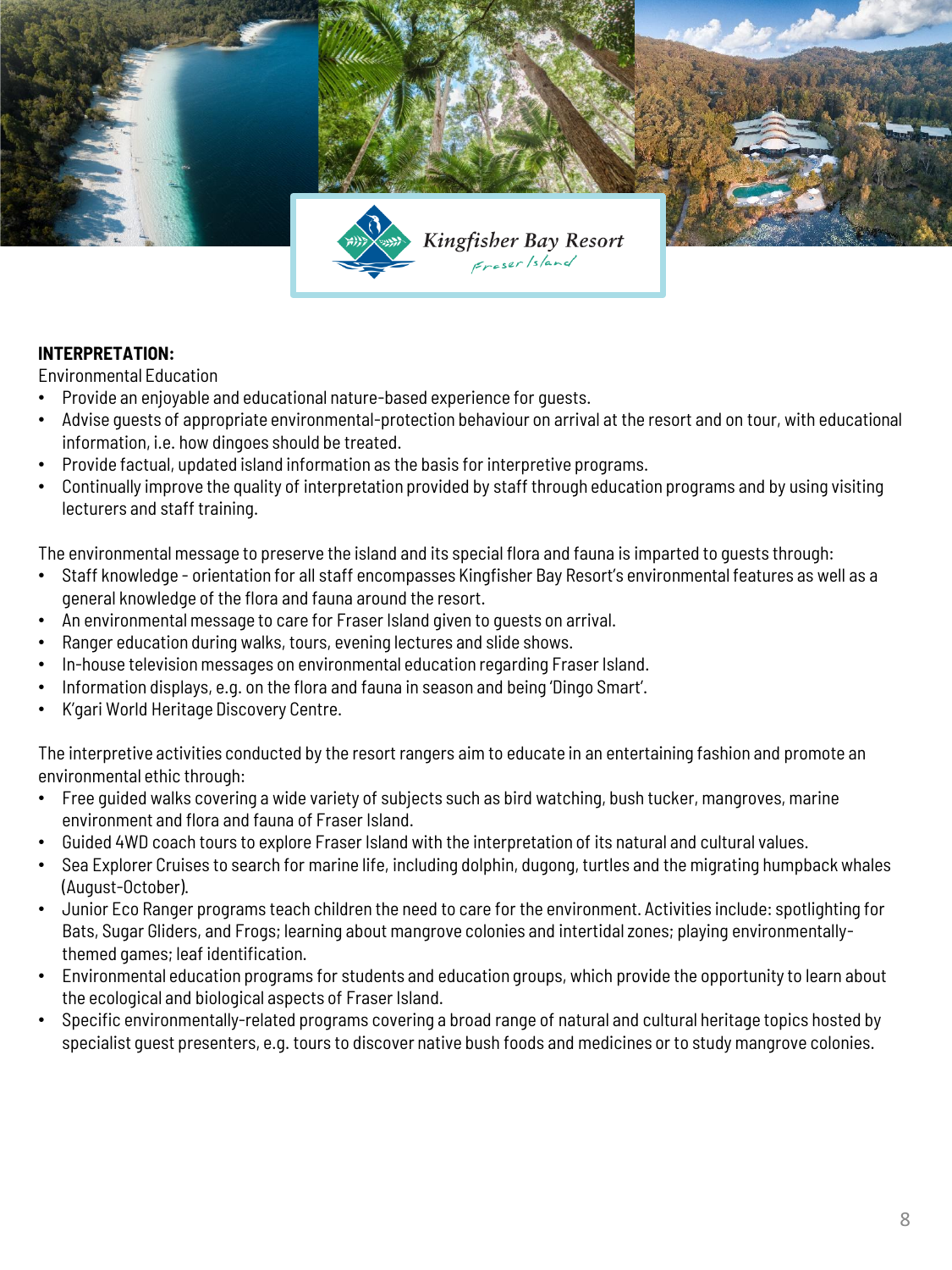

# **INTERPRETATION:**

Environmental Education

- Provide an enjoyable and educational nature-based experience for guests.
- Advise guests of appropriate environmental-protection behaviour on arrival at the resort and on tour, with educational information, i.e. how dingoes should be treated.
- Provide factual, updated island information as the basis for interpretive programs.
- Continually improve the quality of interpretation provided by staff through education programs and by using visiting lecturers and staff training.

The environmental message to preserve the island and its special flora and fauna is imparted to guests through:

- Staff knowledge orientation for all staff encompasses Kingfisher Bay Resort's environmental features as well as a general knowledge of the flora and fauna around the resort.
- An environmental message to care for Fraser Island given to guests on arrival.
- Ranger education during walks, tours, evening lectures and slide shows.
- In-house television messages on environmental education regarding Fraser Island.
- Information displays, e.g. on the flora and fauna in season and being 'Dingo Smart'.
- K'gari World Heritage Discovery Centre.

The interpretive activities conducted by the resort rangers aim to educate in an entertaining fashion and promote an environmental ethic through:

- Free guided walks covering a wide variety of subjects such as bird watching, bush tucker, mangroves, marine environment and flora and fauna of Fraser Island.
- Guided 4WD coach tours to explore Fraser Island with the interpretation of its natural and cultural values.
- Sea Explorer Cruises to search for marine life, including dolphin, dugong, turtles and the migrating humpback whales (August-October).
- Junior Eco Ranger programs teach children the need to care for the environment. Activities include: spotlighting for Bats, Sugar Gliders, and Frogs; learning about mangrove colonies and intertidal zones; playing environmentallythemed games; leaf identification.
- Environmental education programs for students and education groups, which provide the opportunity to learn about the ecological and biological aspects of Fraser Island.
- Specific environmentally-related programs covering a broad range of natural and cultural heritage topics hosted by specialist guest presenters, e.g. tours to discover native bush foods and medicines or to study mangrove colonies.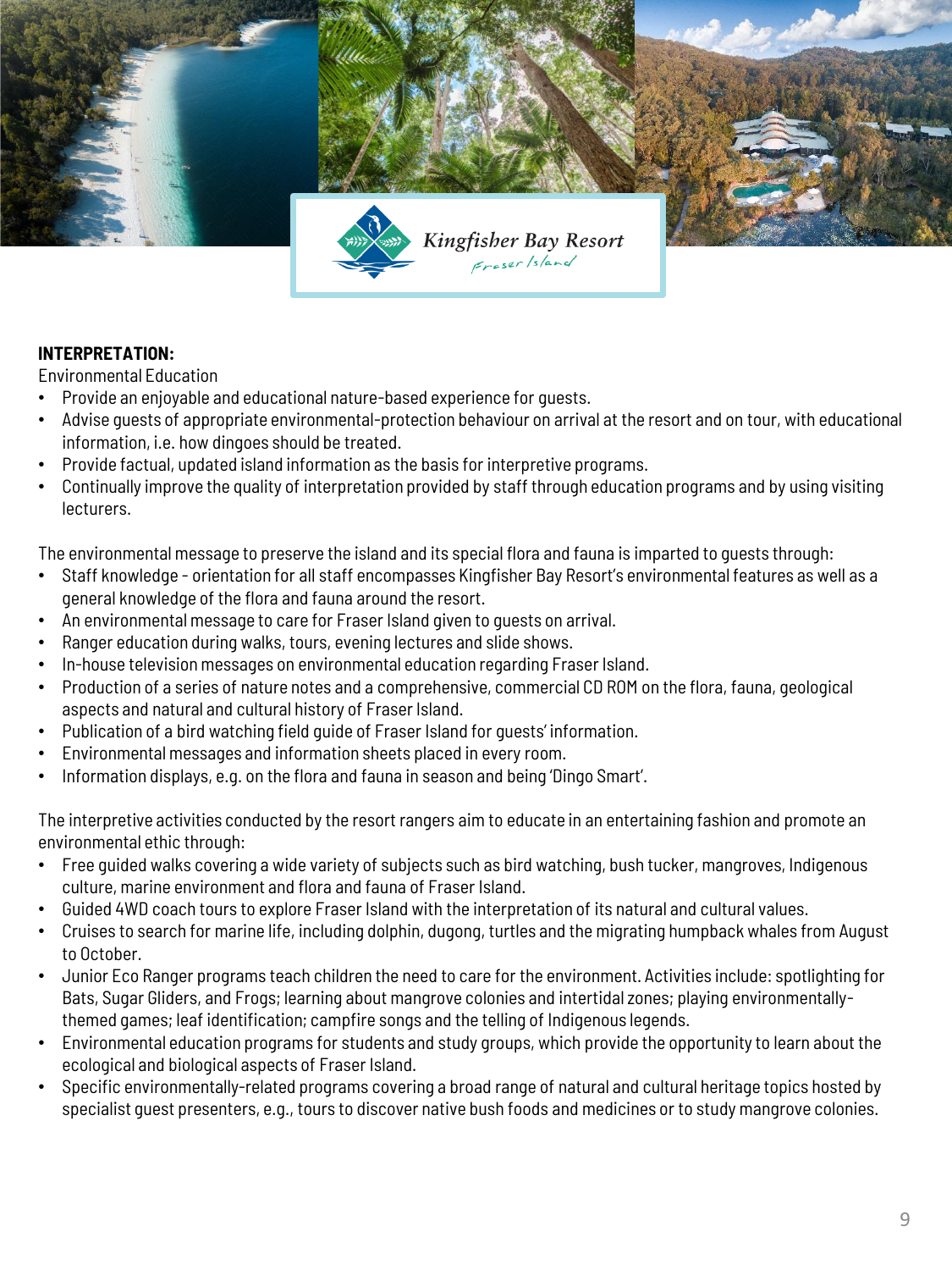

# **INTERPRETATION:**

Environmental Education

- Provide an enjoyable and educational nature-based experience for guests.
- Advise guests of appropriate environmental-protection behaviour on arrival at the resort and on tour, with educational information, i.e. how dingoes should be treated.
- Provide factual, updated island information as the basis for interpretive programs.
- Continually improve the quality of interpretation provided by staff through education programs and by using visiting lecturers.

The environmental message to preserve the island and its special flora and fauna is imparted to guests through:

- Staff knowledge orientation for all staff encompasses Kingfisher Bay Resort's environmental features as well as a general knowledge of the flora and fauna around the resort.
- An environmental message to care for Fraser Island given to guests on arrival.
- Ranger education during walks, tours, evening lectures and slide shows.
- In-house television messages on environmental education regarding Fraser Island.
- Production of a series of nature notes and a comprehensive, commercial CD ROM on the flora, fauna, geological aspects and natural and cultural history of Fraser Island.
- Publication of a bird watching field guide of Fraser Island for guests' information.
- Environmental messages and information sheets placed in every room.
- Information displays, e.g. on the flora and fauna in season and being 'Dingo Smart'.

The interpretive activities conducted by the resort rangers aim to educate in an entertaining fashion and promote an environmental ethic through:

- Free guided walks covering a wide variety of subjects such as bird watching, bush tucker, mangroves, Indigenous culture, marine environment and flora and fauna of Fraser Island.
- Guided 4WD coach tours to explore Fraser Island with the interpretation of its natural and cultural values.
- Cruises to search for marine life, including dolphin, dugong, turtles and the migrating humpback whales from August to October.
- Junior Eco Ranger programs teach children the need to care for the environment. Activities include: spotlighting for Bats, Sugar Gliders, and Frogs; learning about mangrove colonies and intertidal zones; playing environmentallythemed games; leaf identification; campfire songs and the telling of Indigenous legends.
- Environmental education programs for students and study groups, which provide the opportunity to learn about the ecological and biological aspects of Fraser Island.
- Specific environmentally-related programs covering a broad range of natural and cultural heritage topics hosted by specialist guest presenters, e.g., tours to discover native bush foods and medicines or to study mangrove colonies.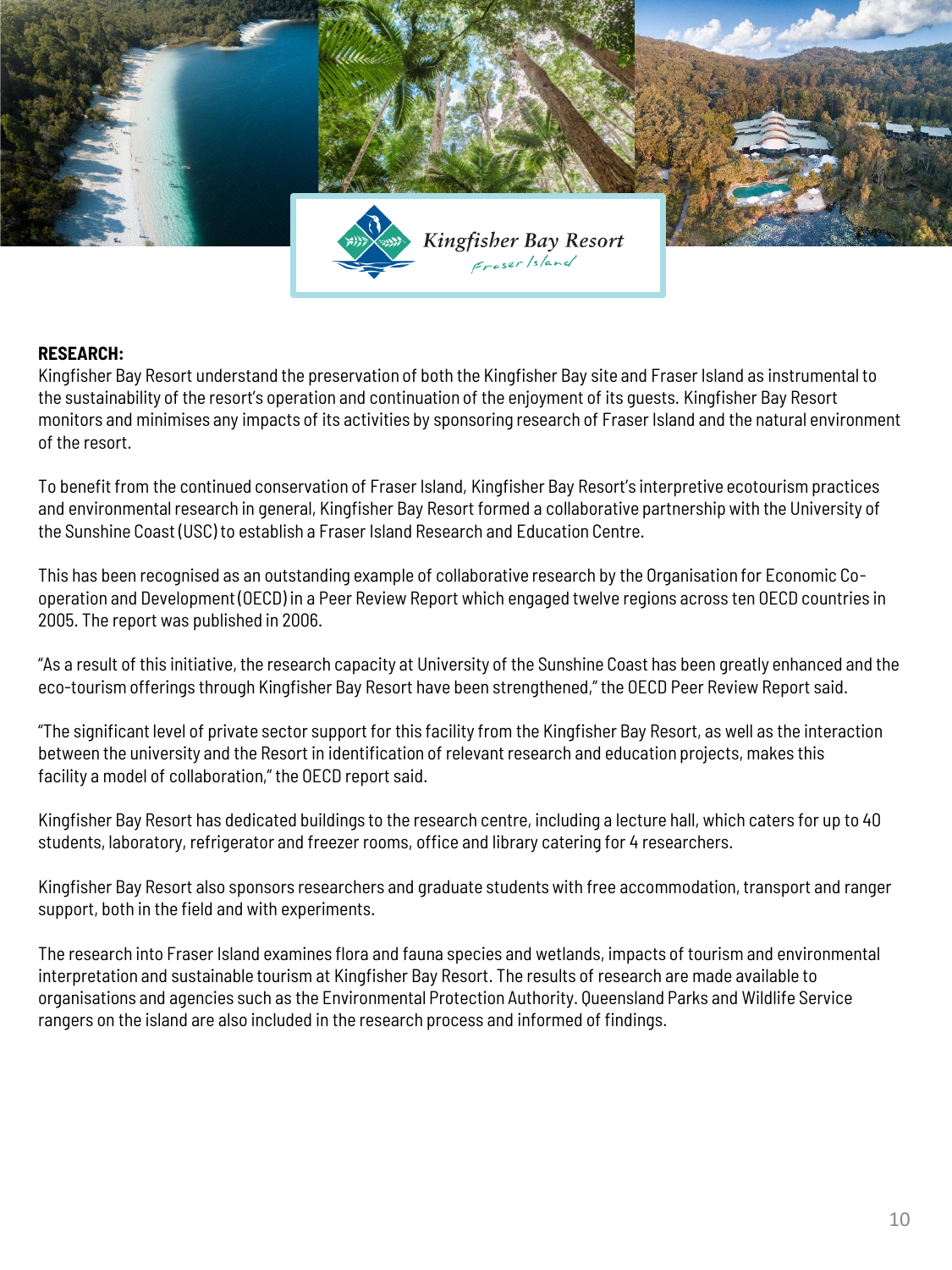

# **RESEARCH:**

Kingfisher Bay Resort understand the preservation of both the Kingfisher Bay site and Fraser Island as instrumental to the sustainability of the resort's operation and continuation of the enjoyment of its guests. Kingfisher Bay Resort monitors and minimises any impacts of its activities by sponsoring research of Fraser Island and the natural environment of the resort.

To benefit from the continued conservation of Fraser Island, Kingfisher Bay Resort's interpretive ecotourism practices and environmental research in general, Kingfisher Bay Resort formed a collaborative partnership with the University of the Sunshine Coast (USC) to establish a Fraser Island Research and Education Centre.

This has been recognised as an outstanding example of collaborative research by the Organisation for Economic Cooperation and Development (OECD) in a Peer Review Report which engaged twelve regions across ten OECD countries in 2005. The report was published in 2006.

"As a result of this initiative, the research capacity at University of the Sunshine Coast has been greatly enhanced and the eco-tourism offerings through Kingfisher Bay Resort have been strengthened," the OECD Peer Review Report said.

"The significant level of private sector support for this facility from the Kingfisher Bay Resort, as well as the interaction between the university and the Resort in identification of relevant research and education projects, makes this facility a model of collaboration," the OECD report said.

Kingfisher Bay Resort has dedicated buildings to the research centre, including a lecture hall, which caters for up to 40 students, laboratory, refrigerator and freezer rooms, office and library catering for 4 researchers.

Kingfisher Bay Resort also sponsors researchers and graduate students with free accommodation, transport and ranger support, both in the field and with experiments.

The research into Fraser Island examines flora and fauna species and wetlands, impacts of tourism and environmental interpretation and sustainable tourism at Kingfisher Bay Resort. The results of research are made available to organisations and agencies such as the Environmental Protection Authority. Queensland Parks and Wildlife Service rangers on the island are also included in the research process and informed of findings.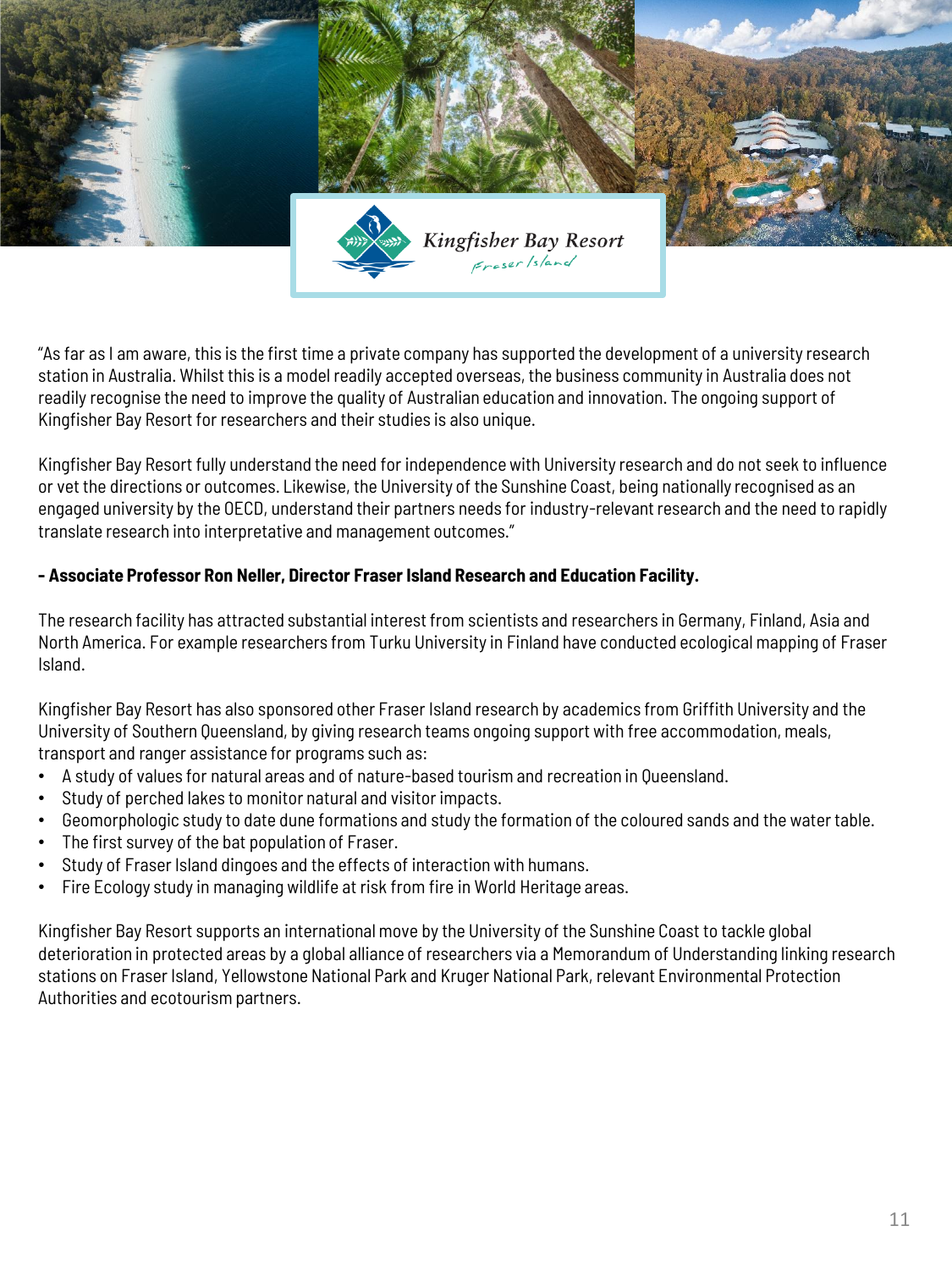

"As far as I am aware, this is the first time a private company has supported the development of a university research station in Australia. Whilst this is a model readily accepted overseas, the business community in Australia does not readily recognise the need to improve the quality of Australian education and innovation. The ongoing support of Kingfisher Bay Resort for researchers and their studies is also unique.

Kingfisher Bay Resort fully understand the need for independence with University research and do not seek to influence or vet the directions or outcomes. Likewise, the University of the Sunshine Coast, being nationally recognised as an engaged university by the OECD, understand their partners needs for industry-relevant research and the need to rapidly translate research into interpretative and management outcomes."

# **- Associate Professor Ron Neller, Director Fraser Island Research and Education Facility.**

The research facility has attracted substantial interest from scientists and researchers in Germany, Finland, Asia and North America. For example researchers from Turku University in Finland have conducted ecological mapping of Fraser Island.

Kingfisher Bay Resort has also sponsored other Fraser Island research by academics from Griffith University and the University of Southern Queensland, by giving research teams ongoing support with free accommodation, meals, transport and ranger assistance for programs such as:

- A study of values for natural areas and of nature-based tourism and recreation in Queensland.
- Study of perched lakes to monitor natural and visitor impacts.
- Geomorphologic study to date dune formations and study the formation of the coloured sands and the water table.
- The first survey of the bat population of Fraser.
- Study of Fraser Island dingoes and the effects of interaction with humans.
- Fire Ecology study in managing wildlife at risk from fire in World Heritage areas.

Kingfisher Bay Resort supports an international move by the University of the Sunshine Coast to tackle global deterioration in protected areas by a global alliance of researchers via a Memorandum of Understanding linking research stations on Fraser Island, Yellowstone National Park and Kruger National Park, relevant Environmental Protection Authorities and ecotourism partners.